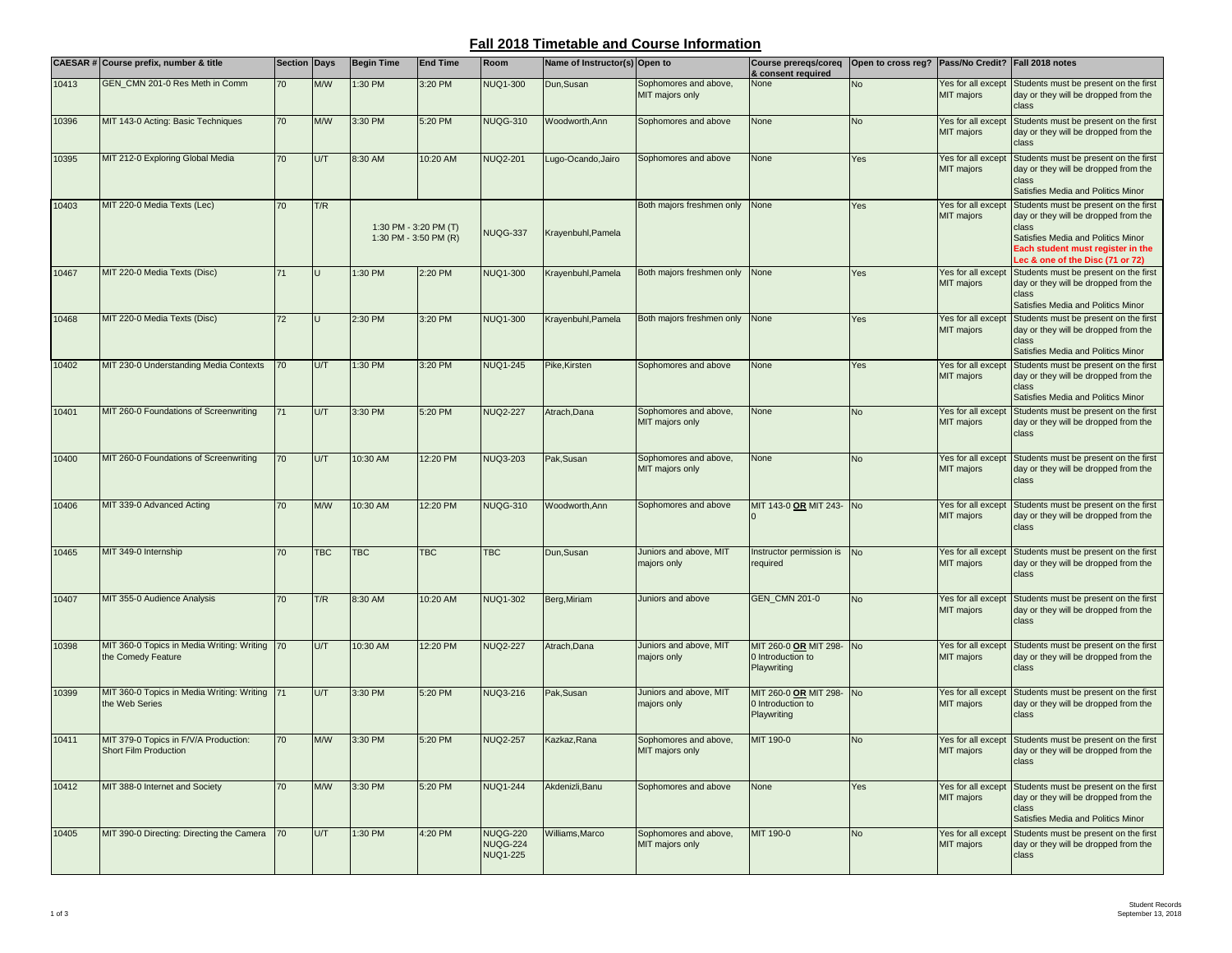## **Fall 2018 Timetable and Course Information**

|       | <b>CAESAR # Course prefix, number &amp; title</b>                | <b>Section Days</b> |            | <b>Begin Time</b>                              | <b>End Time</b> | Room                                                  | Name of Instructor(s) Open to |                                          | <b>Course prereqs/coreq</b><br>& consent required            | Open to cross reg? Pass/No Credit? Fall 2018 notes |                                  |                                                                                                                                                                                                       |
|-------|------------------------------------------------------------------|---------------------|------------|------------------------------------------------|-----------------|-------------------------------------------------------|-------------------------------|------------------------------------------|--------------------------------------------------------------|----------------------------------------------------|----------------------------------|-------------------------------------------------------------------------------------------------------------------------------------------------------------------------------------------------------|
| 10413 | GEN_CMN 201-0 Res Meth in Comm                                   | 70                  | M/W        | 1:30 PM                                        | 3:20 PM         | <b>NUQ1-300</b>                                       | Dun.Susan                     | Sophomores and above,<br>MIT majors only | None                                                         | <b>No</b>                                          | Yes for all except<br>MIT majors | Students must be present on the first<br>day or they will be dropped from the<br>class                                                                                                                |
| 10396 | MIT 143-0 Acting: Basic Techniques                               | 70                  | M/W        | 3:30 PM                                        | 5:20 PM         | <b>NUQG-310</b>                                       | <b>Noodworth, Ann</b>         | Sophomores and above                     | None                                                         | <b>No</b>                                          | Yes for all except<br>MIT majors | Students must be present on the first<br>day or they will be dropped from the<br>class                                                                                                                |
| 10395 | MIT 212-0 Exploring Global Media                                 | 70                  | U/T        | 8:30 AM                                        | 10:20 AM        | <b>NUQ2-201</b>                                       | Lugo-Ocando, Jairo            | Sophomores and above                     | None                                                         | Yes                                                | Yes for all except<br>MIT majors | Students must be present on the first<br>day or they will be dropped from the<br>class<br>Satisfies Media and Politics Minor                                                                          |
| 10403 | MIT 220-0 Media Texts (Lec)                                      | 70                  | T/R        | 1:30 PM - 3:20 PM (T)<br>1:30 PM - 3:50 PM (R) |                 | NUQG-337                                              | Krayenbuhl, Pamela            | Both majors freshmen only                | None                                                         | Yes                                                | Yes for all except<br>MIT majors | Students must be present on the first<br>day or they will be dropped from the<br>class<br>Satisfies Media and Politics Minor<br>Each student must register in the<br>Lec & one of the Disc (71 or 72) |
| 10467 | MIT 220-0 Media Texts (Disc)                                     | 71                  |            | 1:30 PM                                        | 2:20 PM         | <b>NUQ1-300</b>                                       | Krayenbuhl, Pamela            | Both majors freshmen only                | None                                                         | Yes                                                | Yes for all except<br>MIT majors | Students must be present on the first<br>day or they will be dropped from the<br>class<br>Satisfies Media and Politics Minor                                                                          |
| 10468 | MIT 220-0 Media Texts (Disc)                                     | 72                  |            | 2:30 PM                                        | 3:20 PM         | <b>NUQ1-300</b>                                       | Krayenbuhl, Pamela            | Both majors freshmen only                | None                                                         | Yes                                                | Yes for all except<br>MIT majors | Students must be present on the first<br>day or they will be dropped from the<br>class<br>Satisfies Media and Politics Minor                                                                          |
| 10402 | MIT 230-0 Understanding Media Contexts                           | 70                  | U/T        | 1:30 PM                                        | 3:20 PM         | <b>NUQ1-245</b>                                       | Pike, Kirsten                 | Sophomores and above                     | None                                                         | Yes                                                | Yes for all except<br>MIT majors | Students must be present on the first<br>day or they will be dropped from the<br>class<br>Satisfies Media and Politics Minor                                                                          |
| 10401 | MIT 260-0 Foundations of Screenwriting                           | 71                  | UЛ         | 3:30 PM                                        | 5:20 PM         | <b>NUQ2-227</b>                                       | Atrach, Dana                  | Sophomores and above,<br>MIT majors only | None                                                         | <b>No</b>                                          | Yes for all except<br>MIT majors | Students must be present on the first<br>day or they will be dropped from the<br>class                                                                                                                |
| 10400 | MIT 260-0 Foundations of Screenwriting                           | 70                  | U/T        | 10:30 AM                                       | 12:20 PM        | <b>NUQ3-203</b>                                       | Pak, Susan                    | Sophomores and above,<br>MIT majors only | None                                                         | <b>No</b>                                          | Yes for all except<br>MIT majors | Students must be present on the first<br>day or they will be dropped from the<br>class                                                                                                                |
| 10406 | MIT 339-0 Advanced Acting                                        | 70                  | M/W        | 10:30 AM                                       | 12:20 PM        | <b>NUQG-310</b>                                       | Woodworth, Ann                | Sophomores and above                     | MIT 143-0 OR MIT 243- No                                     |                                                    | Yes for all except<br>MIT majors | Students must be present on the first<br>day or they will be dropped from the<br>class                                                                                                                |
| 10465 | MIT 349-0 Internship                                             | 70                  | <b>TBC</b> | <b>TBC</b>                                     | <b>TBC</b>      | <b>TBC</b>                                            | Dun, Susan                    | Juniors and above, MIT<br>majors only    | Instructor permission is No<br>required                      |                                                    | Yes for all except<br>MIT majors | Students must be present on the first<br>day or they will be dropped from the<br>class                                                                                                                |
| 10407 | MIT 355-0 Audience Analysis                                      | 70                  | T/R        | 8:30 AM                                        | 10:20 AM        | <b>NUQ1-302</b>                                       | Berg, Miriam                  | Juniors and above                        | GEN_CMN 201-0                                                | <b>No</b>                                          | Yes for all except<br>MIT majors | Students must be present on the first<br>day or they will be dropped from the<br>class                                                                                                                |
| 10398 | MIT 360-0 Topics in Media Writing: Writing<br>the Comedy Feature | 70                  | U/T        | 10:30 AM                                       | 12:20 PM        | <b>NUQ2-227</b>                                       | Atrach, Dana                  | Juniors and above, MIT<br>majors only    | MIT 260-0 OR MIT 298- No<br>0 Introduction to<br>Playwriting |                                                    | Yes for all except<br>MIT majors | Students must be present on the first<br>day or they will be dropped from the<br>class                                                                                                                |
| 10399 | MIT 360-0 Topics in Media Writing: Writing<br>the Web Series     | 71                  | U/T        | 3:30 PM                                        | 5:20 PM         | NUQ3-216                                              | Pak, Susan                    | Juniors and above, MIT<br>majors only    | MIT 260-0 OR MIT 298- No<br>0 Introduction to<br>Playwriting |                                                    | Yes for all except<br>MIT majors | Students must be present on the first<br>day or they will be dropped from the<br>class                                                                                                                |
| 10411 | MIT 379-0 Topics in F/V/A Production:<br>Short Film Production   | 70                  | M/W        | 3:30 PM                                        | 5:20 PM         | <b>NUQ2-257</b>                                       | Kazkaz, Rana                  | Sophomores and above,<br>MIT majors only | MIT 190-0                                                    | <b>No</b>                                          | Yes for all except<br>MIT majors | Students must be present on the first<br>day or they will be dropped from the<br>class                                                                                                                |
| 10412 | MIT 388-0 Internet and Society                                   | 70                  | M/W        | 3:30 PM                                        | 5:20 PM         | <b>NUQ1-244</b>                                       | Akdenizli, Banu               | Sophomores and above                     | None                                                         | Yes                                                | Yes for all except<br>MIT majors | Students must be present on the first<br>day or they will be dropped from the<br>class<br>Satisfies Media and Politics Minor                                                                          |
| 10405 | MIT 390-0 Directing: Directing the Camera                        | 70                  | U/T        | 1:30 PM                                        | 4:20 PM         | <b>NUQG-220</b><br><b>NUQG-224</b><br><b>NUQ1-225</b> | Williams, Marco               | Sophomores and above,<br>MIT majors only | MIT 190-0                                                    | <b>No</b>                                          | Yes for all except<br>MIT majors | Students must be present on the first<br>day or they will be dropped from the<br>class                                                                                                                |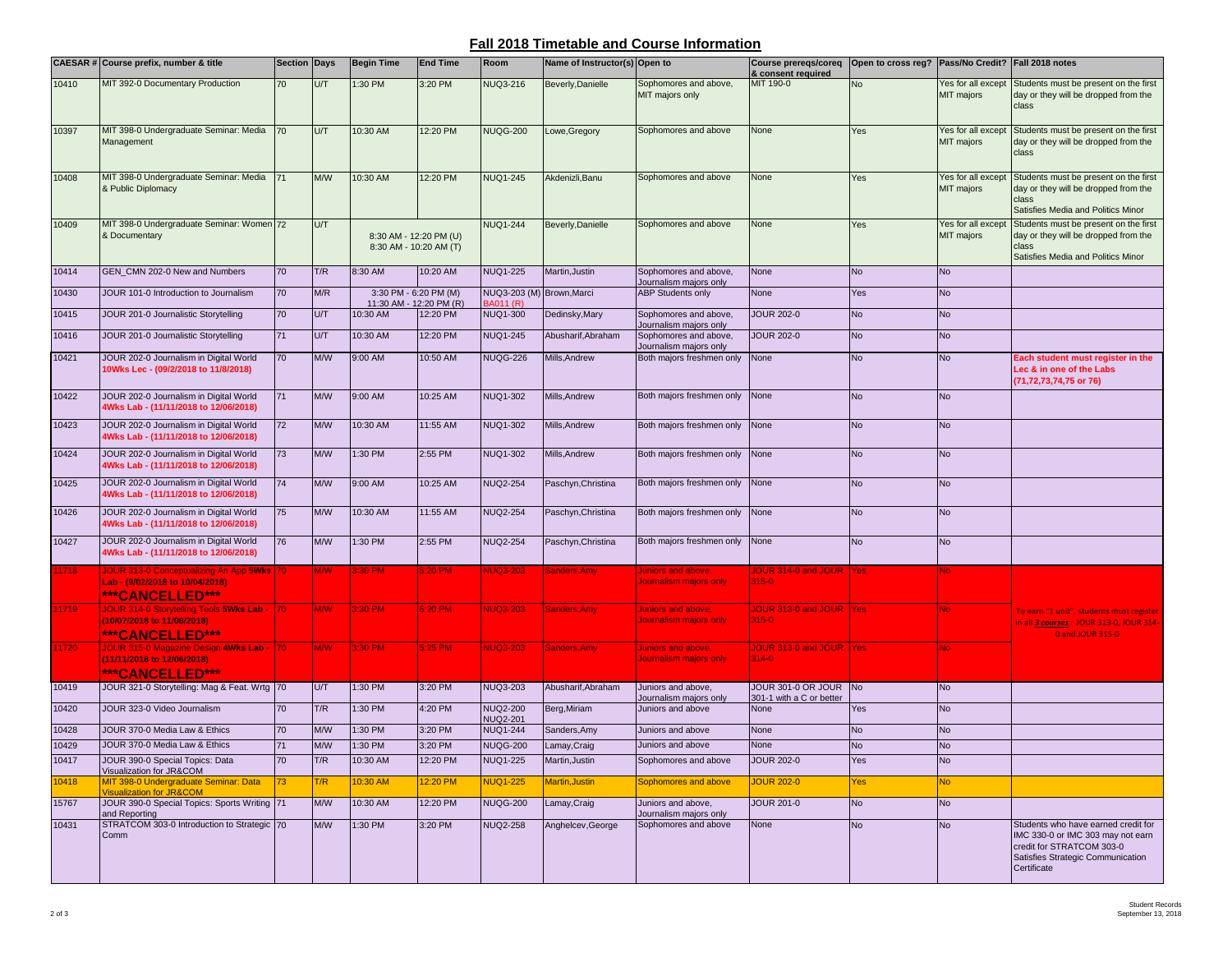## **Fall 2018 Timetable and Course Information**

|       | CAESAR # Course prefix, number & title                                                              | <b>Section Days</b> |            | <b>Begin Time</b>                                | <b>End Time</b> | Room                                   | Name of Instructor(s) Open to |                                                     | <b>Course prereqs/coreq</b><br>& consent required | Open to cross reg? Pass/No Credit? Fall 2018 notes |                                         |                                                                                                                                                           |
|-------|-----------------------------------------------------------------------------------------------------|---------------------|------------|--------------------------------------------------|-----------------|----------------------------------------|-------------------------------|-----------------------------------------------------|---------------------------------------------------|----------------------------------------------------|-----------------------------------------|-----------------------------------------------------------------------------------------------------------------------------------------------------------|
| 10410 | MIT 392-0 Documentary Production                                                                    | 70                  | U/T        | 1:30 PM                                          | 3:20 PM         | <b>NUQ3-216</b>                        | Beverly, Danielle             | Sophomores and above,<br>MIT majors only            | MIT 190-0                                         | No                                                 | Yes for all except<br><b>MIT</b> majors | Students must be present on the first<br>day or they will be dropped from the<br>class                                                                    |
| 10397 | MIT 398-0 Undergraduate Seminar: Media<br>Management                                                | 70                  | U/T        | 10:30 AM                                         | 12:20 PM        | <b>NUQG-200</b>                        | Lowe, Gregory                 | Sophomores and above                                | None                                              | Yes                                                | Yes for all except<br><b>MIT</b> majors | Students must be present on the first<br>day or they will be dropped from the<br>class                                                                    |
| 10408 | MIT 398-0 Undergraduate Seminar: Media<br>& Public Diplomacy                                        |                     | M/W        | 10:30 AM                                         | 12:20 PM        | <b>NUQ1-245</b>                        | Akdenizli, Banu               | Sophomores and above                                | None                                              | Yes                                                | Yes for all except<br><b>MIT</b> majors | Students must be present on the first<br>day or they will be dropped from the<br>class<br>Satisfies Media and Politics Minor                              |
| 10409 | MIT 398-0 Undergraduate Seminar: Women 72<br>& Documentary                                          |                     | U/T        | 8:30 AM - 12:20 PM (U)<br>8:30 AM - 10:20 AM (T) |                 | <b>NUQ1-244</b>                        | Beverly, Danielle             | Sophomores and above                                | None                                              | Yes                                                | Yes for all except<br><b>MIT</b> majors | Students must be present on the first<br>day or they will be dropped from the<br>class<br>Satisfies Media and Politics Minor                              |
| 10414 | GEN_CMN 202-0 New and Numbers                                                                       | 70                  | T/R        | 8:30 AM                                          | 10:20 AM        | <b>NUQ1-225</b>                        | Martin, Justin                | Sophomores and above,<br>Journalism majors only     | None                                              | <b>No</b>                                          | <b>No</b>                               |                                                                                                                                                           |
| 10430 | JOUR 101-0 Introduction to Journalism                                                               | 70                  | M/R        | 3:30 PM - 6:20 PM (M)<br>11:30 AM - 12:20 PM (R) |                 | NUQ3-203 (M) Brown, Marci<br>3A011 (R) |                               | <b>ABP Students only</b>                            | None                                              | Yes                                                | <b>No</b>                               |                                                                                                                                                           |
| 10415 | JOUR 201-0 Journalistic Storytelling                                                                | 70                  | U/T        | 10:30 AM                                         | 12:20 PM        | <b>NUQ1-300</b>                        | Dedinsky, Mary                | Sophomores and above,<br>Journalism majors only     | <b>JOUR 202-0</b>                                 | <b>No</b>                                          | <b>No</b>                               |                                                                                                                                                           |
| 10416 | JOUR 201-0 Journalistic Storytelling                                                                | 71                  | U/T        | 10:30 AM                                         | 12:20 PM        | <b>NUQ1-245</b>                        | Abusharif, Abraham            | Sophomores and above,<br>Journalism majors only     | <b>JOUR 202-0</b>                                 | <b>No</b>                                          | <b>No</b>                               |                                                                                                                                                           |
| 10421 | JOUR 202-0 Journalism in Digital World<br>10Wks Lec - (09/2/2018 to 11/8/2018)                      | 70                  | <b>M/W</b> | 9:00 AM                                          | 10:50 AM        | <b>NUQG-226</b>                        | Mills, Andrew                 | Both majors freshmen only                           | None                                              | <b>No</b>                                          | <b>No</b>                               | Each student must register in the<br>Lec & in one of the Labs<br>(71,72,73,74,75 or 76)                                                                   |
| 10422 | JOUR 202-0 Journalism in Digital World<br>4Wks Lab - (11/11/2018 to 12/06/2018)                     | 71                  | M/W        | 9:00 AM                                          | 10:25 AM        | <b>NUQ1-302</b>                        | Mills, Andrew                 | Both majors freshmen only                           | None                                              | <b>No</b>                                          | <b>No</b>                               |                                                                                                                                                           |
| 10423 | JOUR 202-0 Journalism in Digital World<br>4Wks Lab - (11/11/2018 to 12/06/2018)                     | 72                  | <b>M/W</b> | 10:30 AM                                         | 11:55 AM        | <b>NUQ1-302</b>                        | Mills, Andrew                 | Both majors freshmen only                           | None                                              | <b>No</b>                                          | <b>No</b>                               |                                                                                                                                                           |
| 10424 | JOUR 202-0 Journalism in Digital World<br>4Wks Lab - (11/11/2018 to 12/06/2018)                     | 73                  | M/W        | 1:30 PM                                          | 2:55 PM         | <b>NUQ1-302</b>                        | Mills, Andrew                 | Both majors freshmen only                           | None                                              | <b>No</b>                                          | <b>No</b>                               |                                                                                                                                                           |
| 10425 | JOUR 202-0 Journalism in Digital World<br>4Wks Lab - (11/11/2018 to 12/06/2018)                     | 74                  | M/W        | 9:00 AM                                          | 10:25 AM        | <b>NUQ2-254</b>                        | Paschyn, Christina            | Both majors freshmen only                           | None                                              | <b>No</b>                                          | <b>No</b>                               |                                                                                                                                                           |
| 10426 | JOUR 202-0 Journalism in Digital World<br>4Wks Lab - (11/11/2018 to 12/06/2018)                     | 75                  | M/W        | 10:30 AM                                         | 11:55 AM        | <b>NUQ2-254</b>                        | Paschyn, Christina            | Both majors freshmen only                           | None                                              | <b>No</b>                                          | <b>No</b>                               |                                                                                                                                                           |
| 10427 | JOUR 202-0 Journalism in Digital World<br>4Wks Lab - (11/11/2018 to 12/06/2018)                     | 76                  | M/W        | 1:30 PM                                          | 2:55 PM         | <b>NUQ2-254</b>                        | Paschyn, Christina            | Both majors freshmen only                           | None                                              | <b>No</b>                                          | <b>No</b>                               |                                                                                                                                                           |
| 1718  | JOUR 313-0 Conceptualizing An App 5Wks   70<br>Lab - (9/02/2018 to 10/04/2018)<br>***CANCELLED***   |                     | <b>M/W</b> | 3:30 PM                                          | $5:20$ PM       | <b>NUQ3-203</b>                        | Sanders, Amy                  | Juniors and above,<br>Journalism majors only        | OUR 314-0 and JOUR   Yes<br>$315 - 0$             |                                                    | N٥                                      |                                                                                                                                                           |
| 1719  | JOUR 314-0 Storytelling Tools 5Wks Lab - 70<br>(10/07/2018 to 11/08/2018)<br><b>***CANCELLED***</b> |                     | <b>M/W</b> | 3:30 PM                                          | 5:20 PM         | <b>NUQ3-203</b>                        | <b>Sanders, Amy</b>           | <u>Juniors and above,</u><br>Journalism majors only | JOUR 313-0 and JOUR   Yes<br>$315 - 0$            |                                                    | No.                                     | To earn "1 unit", students must register<br>in all 3 courses: JOUR 313-0, JOUR 314-<br>0 and JOUR 315-0                                                   |
| 1720  | JOUR 315-0 Magazine Design 4Wks Lab - 170<br>(11/11/2018 to 12/06/2018)<br><b>***CANCELLED***</b>   |                     | <b>M/W</b> | 3:30 PM                                          | 5:25 PM         | <b>NUQ3-203</b>                        | Sanders, Amy                  | <b>Juniors and above,</b><br>Journalism majors only | JOUR 313-0 and JOUR Yes<br>$314 - 0$              |                                                    | No.                                     |                                                                                                                                                           |
| 10419 | JOUR 321-0 Storytelling: Mag & Feat. Wrtg 70                                                        |                     | U/T        | 1:30 PM                                          | 3:20 PM         | NUQ3-203                               | Abusharif, Abraham            | Juniors and above,<br>Journalism majors only        | JOUR 301-0 OR JOUR No<br>301-1 with a C or better |                                                    | <b>No</b>                               |                                                                                                                                                           |
| 10420 | JOUR 323-0 Video Journalism                                                                         | 70                  | T/R        | 1:30 PM                                          | 4:20 PM         | NUQ2-200<br><b>NUQ2-201</b>            | Berg, Miriam                  | Juniors and above                                   | None                                              | Yes                                                | <b>No</b>                               |                                                                                                                                                           |
| 10428 | JOUR 370-0 Media Law & Ethics                                                                       | 70                  | M/W        | :30 PM                                           | 3:20 PM         | <b>NUQ1-244</b>                        | Sanders, Amy                  | Juniors and above                                   | None                                              | <b>No</b>                                          | No                                      |                                                                                                                                                           |
| 10429 | JOUR 370-0 Media Law & Ethics                                                                       | 71                  | M/W        | 1:30 PM                                          | 3:20 PM         | <b>NUQG-200</b>                        | Lamay, Craig                  | Juniors and above                                   | None                                              | <b>No</b>                                          | <b>No</b>                               |                                                                                                                                                           |
| 10417 | JOUR 390-0 Special Topics: Data<br>Visualization for JR&COM                                         | 70                  | T/R        | 10:30 AM                                         | 12:20 PM        | NUQ1-225                               | Martin, Justin                | Sophomores and above                                | <b>JOUR 202-0</b>                                 | Yes                                                | <b>No</b>                               |                                                                                                                                                           |
| 10418 | MIT 398-0 Undergraduate Seminar: Data<br><b>Visualization for JR&amp;COM</b>                        | 73                  | T/R        | 10:30 AM                                         | 12:20 PM        | <b>NUQ1-225</b>                        | Martin, Justin                | Sophomores and above                                | <b>JOUR 202-0</b>                                 | <b>Yes</b>                                         | <b>No</b>                               |                                                                                                                                                           |
| 15767 | JOUR 390-0 Special Topics: Sports Writing 71<br>and Reporting                                       |                     | M/W        | 10:30 AM                                         | 12:20 PM        | <b>NUQG-200</b>                        | Lamay, Craig                  | Juniors and above,<br>Journalism majors only        | <b>JOUR 201-0</b>                                 | <b>No</b>                                          | <b>No</b>                               |                                                                                                                                                           |
| 10431 | STRATCOM 303-0 Introduction to Strategic 70<br>Comm                                                 |                     | <b>M/W</b> | 1:30 PM                                          | 3:20 PM         | <b>NUQ2-258</b>                        | Anghelcev, George             | Sophomores and above                                | None                                              | <b>No</b>                                          | <b>No</b>                               | Students who have earned credit for<br>IMC 330-0 or IMC 303 may not earn<br>credit for STRATCOM 303-0<br>Satisfies Strategic Communication<br>Certificate |